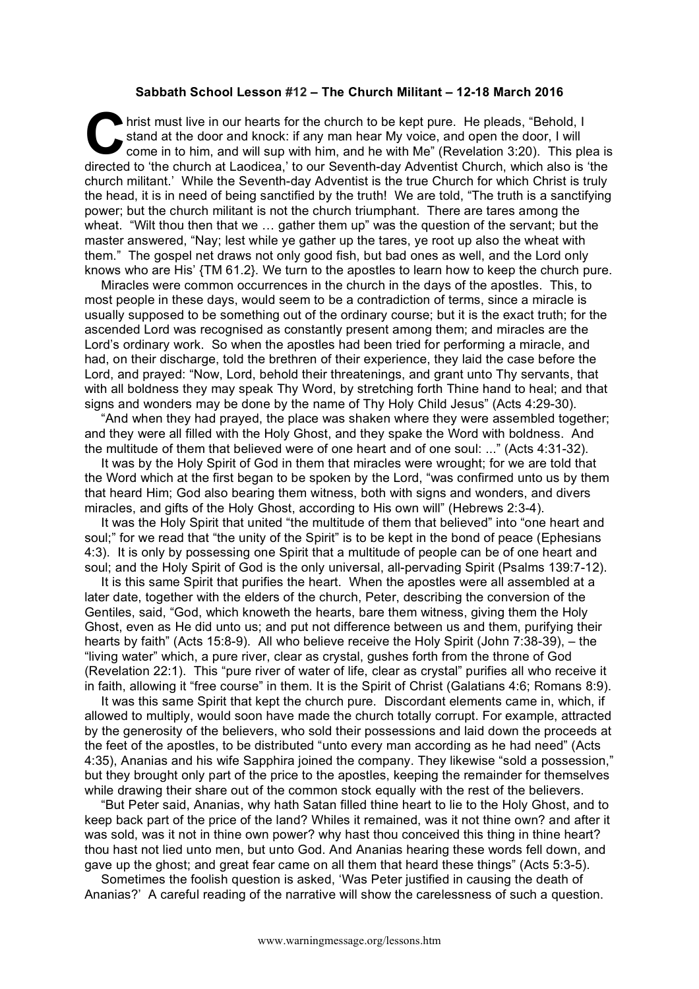## **Sabbath School Lesson #12 – The Church Militant – 12-18 March 2016**

hrist must live in our hearts for the church to be kept pure. He pleads, "Behold, I stand at the door and knock: if any man hear My voice, and open the door, I will come in to him, and will sup with him, and he with Me" (Revelation 3:20). This plea is directed to 'the church at Laodicea,' to our Seventh-day Adventist Church, which also is 'the church militant.' While the Seventh-day Adventist is the true Church for which Christ is truly the head, it is in need of being sanctified by the truth! We are told, "The truth is a sanctifying power; but the church militant is not the church triumphant. There are tares among the wheat. "Wilt thou then that we … gather them up" was the question of the servant; but the master answered, "Nay; lest while ye gather up the tares, ye root up also the wheat with them." The gospel net draws not only good fish, but bad ones as well, and the Lord only knows who are His' {TM 61.2}. We turn to the apostles to learn how to keep the church pure. C hris<br>
sta<br>
directed to

Miracles were common occurrences in the church in the days of the apostles. This, to most people in these days, would seem to be a contradiction of terms, since a miracle is usually supposed to be something out of the ordinary course; but it is the exact truth; for the ascended Lord was recognised as constantly present among them; and miracles are the Lord's ordinary work. So when the apostles had been tried for performing a miracle, and had, on their discharge, told the brethren of their experience, they laid the case before the Lord, and prayed: "Now, Lord, behold their threatenings, and grant unto Thy servants, that with all boldness they may speak Thy Word, by stretching forth Thine hand to heal; and that signs and wonders may be done by the name of Thy Holy Child Jesus" (Acts 4:29-30).

"And when they had prayed, the place was shaken where they were assembled together; and they were all filled with the Holy Ghost, and they spake the Word with boldness. And the multitude of them that believed were of one heart and of one soul: ..." (Acts 4:31-32).

It was by the Holy Spirit of God in them that miracles were wrought; for we are told that the Word which at the first began to be spoken by the Lord, "was confirmed unto us by them that heard Him; God also bearing them witness, both with signs and wonders, and divers miracles, and gifts of the Holy Ghost, according to His own will" (Hebrews 2:3-4).

It was the Holy Spirit that united "the multitude of them that believed" into "one heart and soul;" for we read that "the unity of the Spirit" is to be kept in the bond of peace (Ephesians 4:3). It is only by possessing one Spirit that a multitude of people can be of one heart and soul; and the Holy Spirit of God is the only universal, all-pervading Spirit (Psalms 139:7-12).

It is this same Spirit that purifies the heart. When the apostles were all assembled at a later date, together with the elders of the church, Peter, describing the conversion of the Gentiles, said, "God, which knoweth the hearts, bare them witness, giving them the Holy Ghost, even as He did unto us; and put not difference between us and them, purifying their hearts by faith" (Acts 15:8-9). All who believe receive the Holy Spirit (John 7:38-39), – the "living water" which, a pure river, clear as crystal, gushes forth from the throne of God (Revelation 22:1). This "pure river of water of life, clear as crystal" purifies all who receive it in faith, allowing it "free course" in them. It is the Spirit of Christ (Galatians 4:6; Romans 8:9).

It was this same Spirit that kept the church pure. Discordant elements came in, which, if allowed to multiply, would soon have made the church totally corrupt. For example, attracted by the generosity of the believers, who sold their possessions and laid down the proceeds at the feet of the apostles, to be distributed "unto every man according as he had need" (Acts 4:35), Ananias and his wife Sapphira joined the company. They likewise "sold a possession," but they brought only part of the price to the apostles, keeping the remainder for themselves while drawing their share out of the common stock equally with the rest of the believers.

"But Peter said, Ananias, why hath Satan filled thine heart to lie to the Holy Ghost, and to keep back part of the price of the land? Whiles it remained, was it not thine own? and after it was sold, was it not in thine own power? why hast thou conceived this thing in thine heart? thou hast not lied unto men, but unto God. And Ananias hearing these words fell down, and gave up the ghost; and great fear came on all them that heard these things" (Acts 5:3-5).

Sometimes the foolish question is asked, 'Was Peter justified in causing the death of Ananias?' A careful reading of the narrative will show the carelessness of such a question.